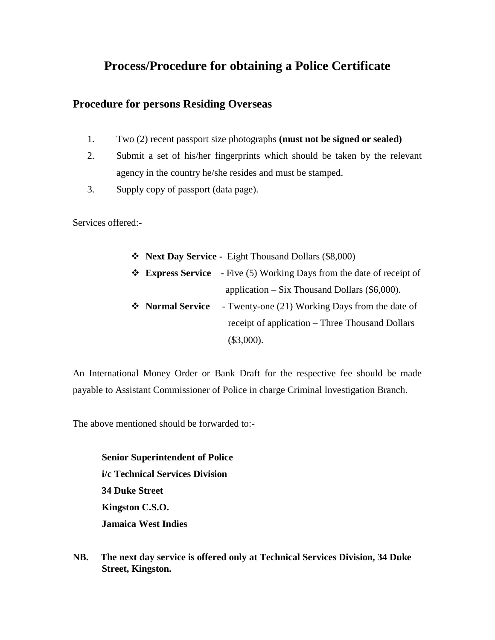# **Process/Procedure for obtaining a Police Certificate**

#### **Procedure for persons Residing Overseas**

- 1. Two (2) recent passport size photographs **(must not be signed or sealed)**
- 2. Submit a set of his/her fingerprints which should be taken by the relevant agency in the country he/she resides and must be stamped.
- 3. Supply copy of passport (data page).

Services offered:-

|                  | ❖ Next Day Service - Eight Thousand Dollars (\$8,000)                                      |
|------------------|--------------------------------------------------------------------------------------------|
|                  | $\triangleleft$ <b>Express Service</b> - Five (5) Working Days from the date of receipt of |
|                  | application $-$ Six Thousand Dollars (\$6,000).                                            |
| ❖ Normal Service | - Twenty-one (21) Working Days from the date of                                            |
|                  | receipt of application – Three Thousand Dollars                                            |
|                  | $(\$3,000).$                                                                               |

An International Money Order or Bank Draft for the respective fee should be made payable to Assistant Commissioner of Police in charge Criminal Investigation Branch.

The above mentioned should be forwarded to:-

**Senior Superintendent of Police i/c Technical Services Division 34 Duke Street Kingston C.S.O. Jamaica West Indies**

**NB. The next day service is offered only at Technical Services Division, 34 Duke Street, Kingston.**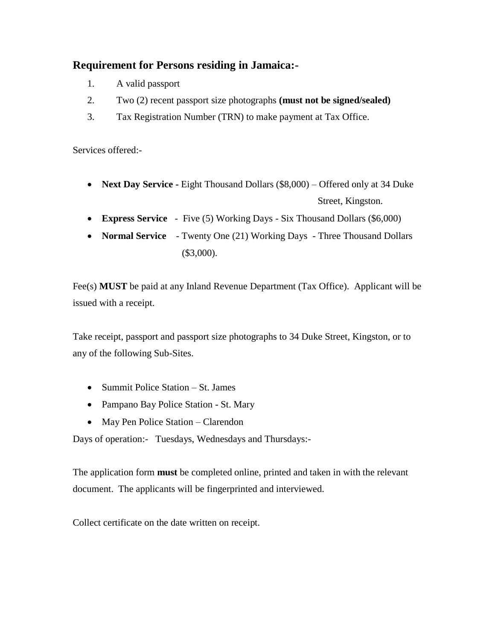### **Requirement for Persons residing in Jamaica:-**

- 1. A valid passport
- 2. Two (2) recent passport size photographs **(must not be signed/sealed)**
- 3. Tax Registration Number (TRN) to make payment at Tax Office.

Services offered:-

- **Next Day Service -** Eight Thousand Dollars (\$8,000) Offered only at 34 Duke Street, Kingston.
- **Express Service**  Five (5) Working Days Six Thousand Dollars (\$6,000)
- **Normal Service**  Twenty One (21) Working Days Three Thousand Dollars (\$3,000).

Fee(s) **MUST** be paid at any Inland Revenue Department (Tax Office). Applicant will be issued with a receipt.

Take receipt, passport and passport size photographs to 34 Duke Street, Kingston, or to any of the following Sub-Sites.

- Summit Police Station St. James
- Pampano Bay Police Station St. Mary
- May Pen Police Station Clarendon

Days of operation:- Tuesdays, Wednesdays and Thursdays:-

The application form **must** be completed online, printed and taken in with the relevant document. The applicants will be fingerprinted and interviewed.

Collect certificate on the date written on receipt.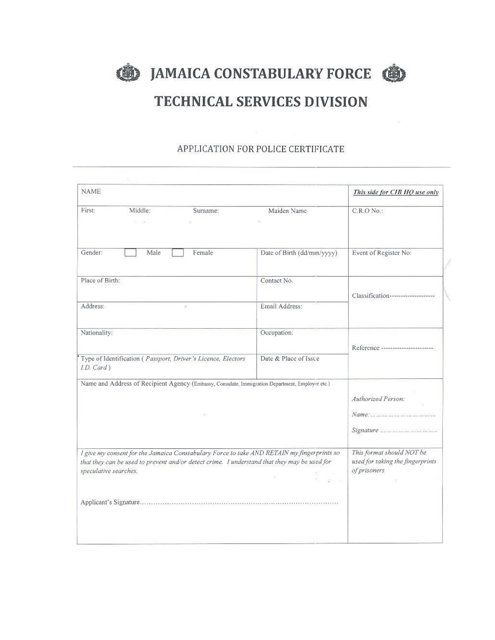**SEPTEMBER AND THE UP ANAICA CONSTABULARY FORCE** 



# **TECHNICAL SERVICES DIVISION**

#### APPLICATION FOR POLICE CERTIFICATE

| Maiden Name                                                                                                                                                                                                                     | C.R.O No.:                         |  |  |
|---------------------------------------------------------------------------------------------------------------------------------------------------------------------------------------------------------------------------------|------------------------------------|--|--|
|                                                                                                                                                                                                                                 |                                    |  |  |
| Date of Birth (dd/mm/yyyy)                                                                                                                                                                                                      | Event of Register No:              |  |  |
| Contact No.                                                                                                                                                                                                                     | Classification-------------------- |  |  |
| Email Address:                                                                                                                                                                                                                  |                                    |  |  |
| Occupation:                                                                                                                                                                                                                     | Reference ------------------------ |  |  |
| Date & Place of Issue                                                                                                                                                                                                           |                                    |  |  |
| Name and Address of Recipient Agency (Embassy, Consulate, Immigration Department, Employer etc.)                                                                                                                                |                                    |  |  |
| I give my consent for the Jamaica Constabulary Force to take AND RETAIN my fingerprints so<br>that they can be used to prevent and/or detect crime. I understand that they may be used for<br>speculative searches.<br>$1 - 37$ |                                    |  |  |
|                                                                                                                                                                                                                                 |                                    |  |  |
|                                                                                                                                                                                                                                 |                                    |  |  |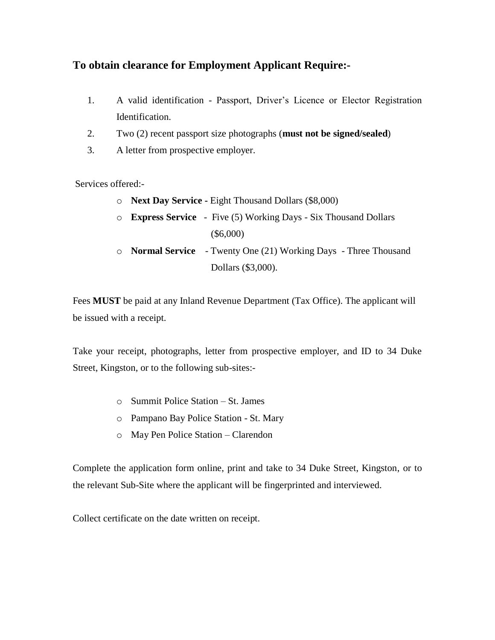### **To obtain clearance for Employment Applicant Require:-**

- 1. A valid identification Passport, Driver's Licence or Elector Registration Identification.
- 2. Two (2) recent passport size photographs (**must not be signed/sealed**)
- 3. A letter from prospective employer.

Services offered:-

- o **Next Day Service -** Eight Thousand Dollars (\$8,000)
- o **Express Service**  Five (5) Working Days Six Thousand Dollars (\$6,000)
- o **Normal Service**  Twenty One (21) Working Days Three Thousand Dollars (\$3,000).

Fees **MUST** be paid at any Inland Revenue Department (Tax Office). The applicant will be issued with a receipt.

Take your receipt, photographs, letter from prospective employer, and ID to 34 Duke Street, Kingston, or to the following sub-sites:-

- o Summit Police Station St. James
- o Pampano Bay Police Station St. Mary
- o May Pen Police Station Clarendon

Complete the application form online, print and take to 34 Duke Street, Kingston, or to the relevant Sub-Site where the applicant will be fingerprinted and interviewed.

Collect certificate on the date written on receipt.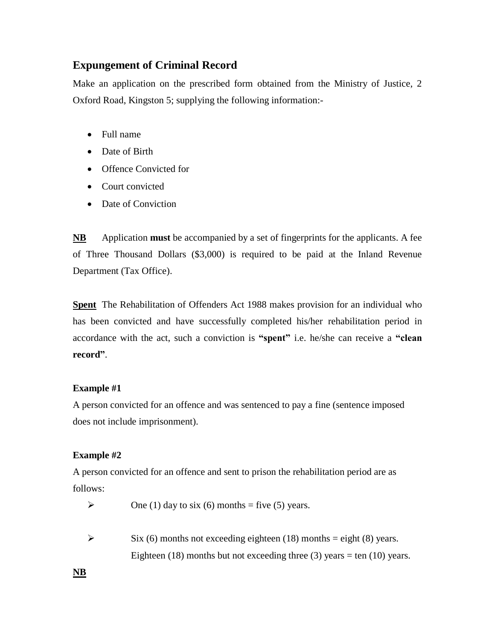## **Expungement of Criminal Record**

Make an application on the prescribed form obtained from the Ministry of Justice, 2 Oxford Road, Kingston 5; supplying the following information:-

- Full name
- Date of Birth
- Offence Convicted for
- Court convicted
- Date of Conviction

**NB** Application **must** be accompanied by a set of fingerprints for the applicants. A fee of Three Thousand Dollars (\$3,000) is required to be paid at the Inland Revenue Department (Tax Office).

**Spent** The Rehabilitation of Offenders Act 1988 makes provision for an individual who has been convicted and have successfully completed his/her rehabilitation period in accordance with the act, such a conviction is **"spent"** i.e. he/she can receive a **"clean record"**.

#### **Example #1**

A person convicted for an offence and was sentenced to pay a fine (sentence imposed does not include imprisonment).

#### **Example #2**

A person convicted for an offence and sent to prison the rehabilitation period are as follows:

- $\triangleright$  One (1) day to six (6) months = five (5) years.
- $\triangleright$  Six (6) months not exceeding eighteen (18) months = eight (8) years. Eighteen (18) months but not exceeding three (3) years = ten (10) years.

**NB**